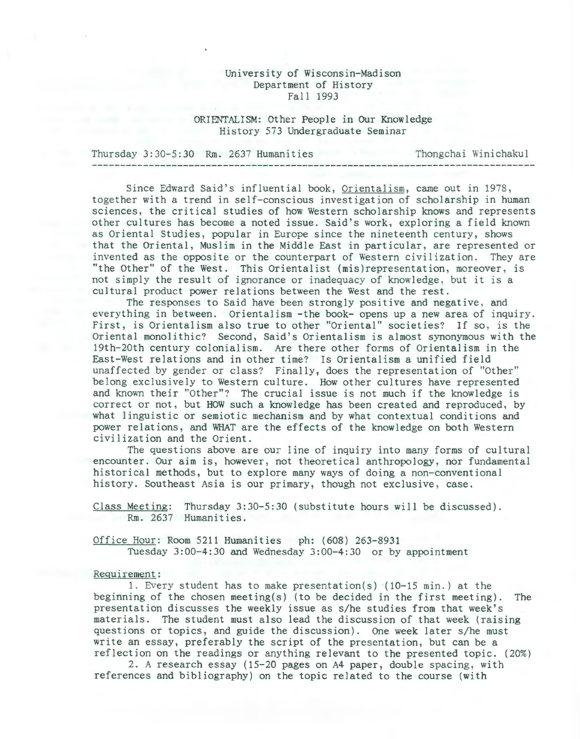# University of Wisconsin-Madison Department of History Fall 1993

ORIENTALISM: Other People in Our Knowledge History 573 Undergraduate Seminar

Thursday 3:30-5:30 Rm. 2637 Humanities Thongchai Winichakul 

Since Edward Said's influential book, Orientalism, came out in 1978, together with a trend in self-conscious investigation of scholarship in human sciences, the critical studies of how Western scholarship knows and represents other cultures has become a noted issue. Said's work, explor ing a field known as Oriental Studies, popular in Europe since the nineteenth century, shows that the Oriental, Muslim in the Middle East in particular, are represented or invented as the opposite or the counterpart of Western civilization. They are "the Other" of the West. This Orientalist (mis)representation, moreover, is not simply the result of ignorance or inadequacy of knowledge, but it is a cultural product power relations between the West and the rest.

The responses to Said have been strongly positive and negative , and everything in between. Orientalism -the book- opens up a new area of inquiry . First, is Orientalism also true to other "Oriental" societies? If so, is the Oriental monolithic? Second, Said's Orientalism is almost synonymous with the 19th-20th century colonialism. Are there other forms of Orientalism in the East-West relations and in other time? Is Orientalism a unified field unaffected by gender or class? Finally, does the representation of "Other" belong exclusively to Western culture. How other cultures have represented and knovm their "Other"? The crucial issue is not much if the knowledge is correct or not, but HOW such a knowledge has been created and reproduced, by what linguistic or semiotic mechanism and by what contextual conditions and power relations, and WHAT are the effects of the knowledge on both Western civilization and the Orient.

The questions above are our line of inquiry into many forms of cultural encounter. Our aim is, however, not theoretical anthropology, nor fundamental historical methods, but to explore many ways of doing a non-conventional history. Southeast Asia is our primary, though not exclusive, case.

Class Meeting: Thursday 3:30-5:30 (substitute hours will be discussed). Rm. 2637 Humanities.

Office Hour: Room 5211 Humanities ph: (608) 263-8931 Tuesday 3:00-4:30 and Wednesday 3:00-4:30 or by appointment

#### Requirement:

1. Every student has to make presentation(s)  $(10-15 \text{ min.})$  at the beginning of the chosen meeting(s) (to be decided in the first meeting). The presentation discusses the weekly issue as s/he studies from that week's materials. The student must also lead the discussion of that week (raising questions or topics, and guide the discussion). One week later s/he must write an essay, preferably the script of the presentation, but can be a reflection on the readings or anything relevant to the presented topic. (20%)

2. A research essay (15-20 pages on A4 paper, double spacing, with references and bibliography) on the topic related to the course (with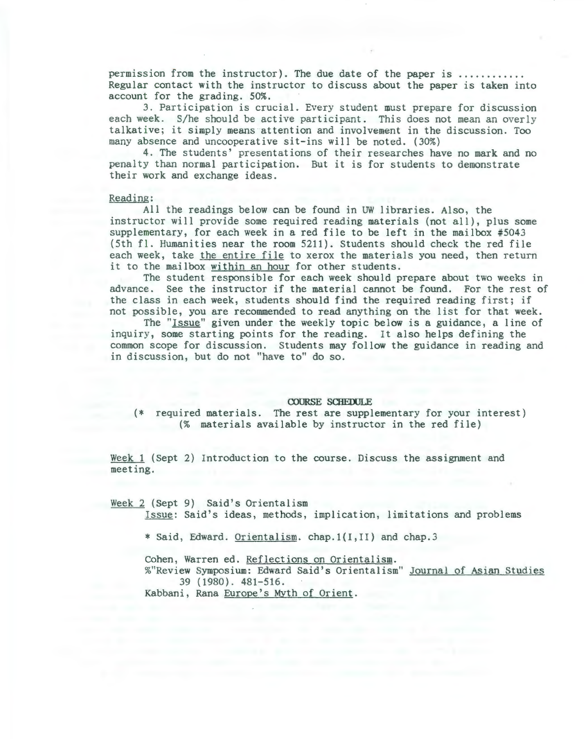permission from the instructor). The due date of the paper is ........... Regular contact with the instructor to discuss about the paper is taken into account for the grading. 50%.

3. Participation is crucial. Every student must prepare for discussion each week. S/he should be active participant. This does not mean an overly talkative; it simply means attention and involvement in the discussion. Too many absence and uncooperative sit-ins will be noted. (30%)

4. The students' presentations of their researches have no mark and no penalty than normal participation. But it is for students to demonstrate their work and exchange ideas.

### Reading:

All the readings below can be found in UW libraries. Also, the instructor will provide some required reading materials (not all), plus some supplementary, for each week in a red file to be left in the mailbox #5043  $(5th$  fl. Humanities near the room  $5211$ ). Students should check the red file each week, take the entire file to xerox the materials you need, then return it to the mailbox within an hour for other students.

The student responsible for each week should prepare about two weeks in advance. See the instructor if the material cannot be found. For the rest of the class in each week, students should find the required reading first; if not possible, you are recommended to read anything on the list for that week.

The "Issue" given under the weekly topic below is a guidance, a line of inquiry, some starting points for the reading. It also helps defining the common scope for discussion. Students may follow the guidance in reading and in discussion, but do not "have to" do so.

#### COURSE SCHEDULE

(\* required materials. The rest are supplementary for your interest) (% materials available by instructor in the red file)

Week 1 (Sept 2) Introduction to the course. Discuss the assignment and meeting.

Week 2 (Sept 9) Said's Orientalism

Issue: Said's ideas, methods, implication, limitations and problems

\* Said, Edward. Orientalism. chap.1(I,II) and chap.3

Cohen, Warren ed. Reflections on Orientalism.

%"Review Symposium: Edward Said's Orientalism" Journal of Asian Studies 39 (1980). 481-516.

Kabbani, Rana Europe's Myth of Orient.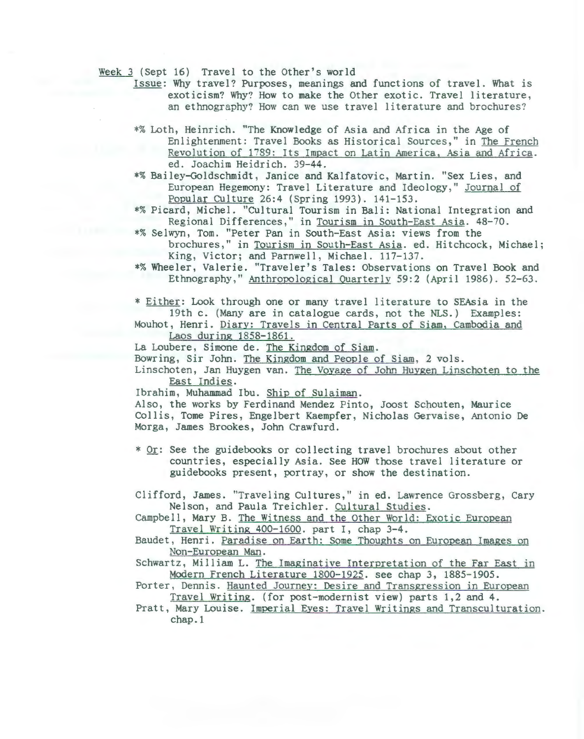Week 3 (Sept 16) Travel to the Other's world

- Issue: Why travel? Purposes, meanings and functions of travel. What is exoticism? Why? How to make the Other exotic. Travel literature, an ethnography? How can we use travel literature and brochures?
- \*% Loth, Heinrich. "The Knowledge of Asia and Africa in the Age of Enlightenment: Travel Books as Historical Sources," in The French Revolution of 1789: Its Impact on Latin America, Asia and Africa. ed. Joachim Heidrich. 39-44.

\*% Bailey-Goldschmidt, Janice and Kalfatovic, Martin. "Sex Lies, and European Hegemony: Travel Literature and Ideology," Journal of Popular Culture 26:4 (Spring 1993). 141-153.

\*% Picard, Michel. "Cultural Tour ism in Bali: National Integration and Regional Differences," in Tourism in South-East Asia. 48-70.

\*% Selwyn, Tom. "Peter Pan in South-East Asia: views from the brochures," in Tourism in South-East Asia. ed. Hitchcock, Michael; King, Victor; and Parnwell, Michael. 117-137.

\*%Wheeler, Valerie. "Traveler's Tales: Observations on Travel Book and Ethnography," Anthropological Quarterly 59:2 (April 1986). 52-63.

\* Either: Look through one or many travel literature to SEAsia in the 19th c. (Many are in catalogue cards, not the NLS.) Examples:

Mouhot, Henri. Diary: Travels in Central Parts of Siam, Cambodia and Laos during 1858-1861.

La Loubere, Simone de. The Kingdom of Siam.

Bowring, Sir John. The Kingdom and People of Siam, 2 vols.

- Linschoten, Jan Huygen van. The Voyage of John Huygen Linschoten to the East Indies.
- Ibrahim, Muhammad Ibu. Ship of Sulaiman.

Also, the works by Ferdinand Mendez Pinto, Joost Schouten, Maurice Collis, Tome Pires, Engelbert Kaempfer, Nicholas Gervaise, Antonio De Morga, James Brookes, John Crawfurd.

\*Or: See the guidebooks or collecting travel brochures about other countries, especially Asia. See HOW those travel literature or guidebooks present, portray, or show the destination.

Clifford, James. "Traveling Cultures," in ed. Lawrence Grossberg, Cary Nelson, and Paula Treichler. Cultural Studies.

Campbell, Mary B. The Witness and the Other World: Exotic European Travel Writing 400-1600. part I, chap 3-4.

Baudet, Henri. Paradise on Earth: Some Thoughts on European Images on Non-European Man.

Schwartz, Milliam L. The Imaginative Interpretation of the Far East in Modern French Literature 1800-1925. see chap 3, 1885-1905.

Porter, Dennis. Haunted Journey: Desire and Transgression in European Travel Writing. (for post-modernist view) parts 1,2 and 4.

Pratt, Mary Louise. Imperial Eyes: Travel Writings and Transculturation. chap.l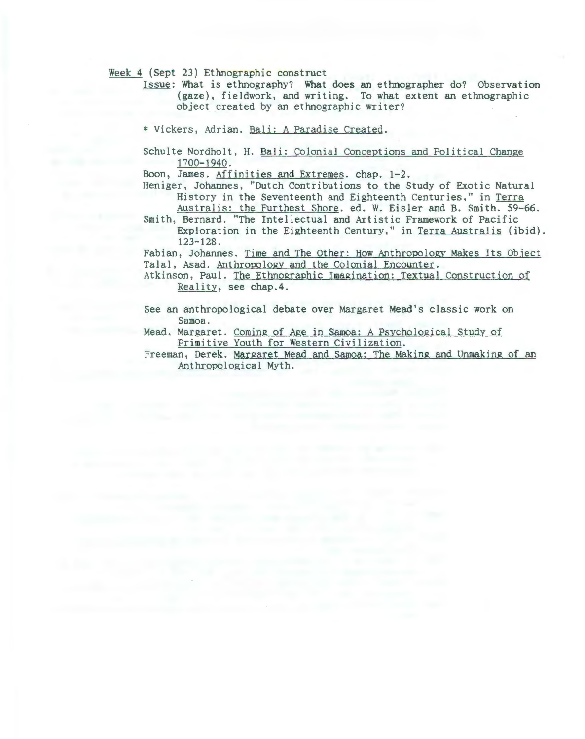Week 4 (Sept 23) Ethnographic construct

- Issue: What is ethnography? What does an ethnographer do? Observation (gaze), fieldwork, and writing. To what extent an ethnographic object created by an ethnographic writer?
- \* Vickers, Adrian. Bali: A Paradise Created.
- Schulte Nordholt, H. Bali: Colonial Conceptions and Political Change 1700-1940.

Boon, James. Affinities and Extremes. chap. 1-2.

Heniger, Johannes, "Dutch Contributions to the Study of Exotic Natural History in the Seventeenth and Eighteenth Centuries," in Terra Australis: the Furthest Shore. ed. W. Eisler and B. Smith. 59-66.

Smith, Bernard. "The Intellectual and Artistic Framework of Pacific Exploration in the Eighteenth Century," in Terra Australis (ibid). 123-128.

Fabian, Johannes. Time and The Other: How Anthropology Makes Its Object Talal, Asad. Anthropology and the Colonial Encounter.

See an anthropological debate over Margaret Mead's classic work on Samoa.

Mead, Margaret. Coming of Age in Samoa: A Psychological Study of Primitive Youth for Western Civilization.

Freeman, Derek. Margaret Mead and Samoa: The Making and Unmaking of an Anthropological Myth.

Atkinson, Paul. The Ethnographic Imagination: Textual Construction of Reality, see chap.4.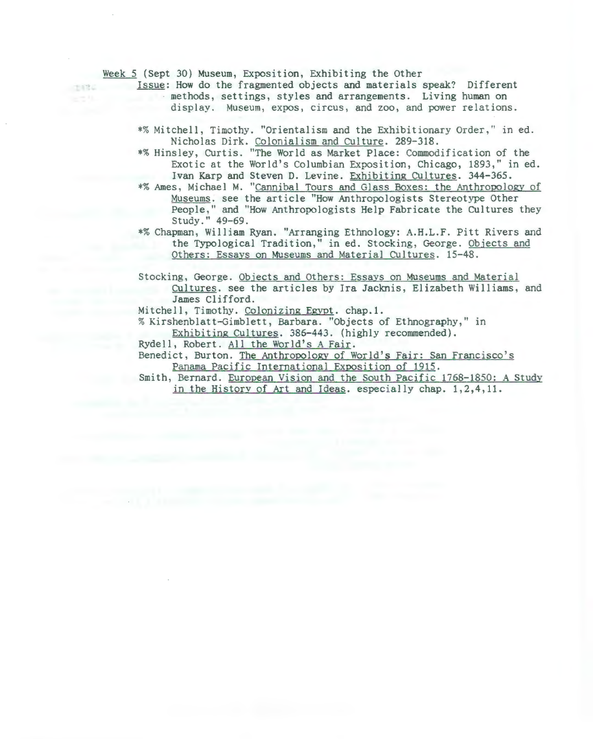Week 5 (Sept 30) Museum, Exposition, Exhibiting the Other

Issue: How do the fragmented objects and materials speak? Different methods, settings, styles and arrangements. Living human on display. Museum, expos, circus, and zoo, and power relations.

- \*% Mitchell, Timothy. "Orientalism and the Exhibitionary Order, " in ed. Nicholas Dirk. Colonialism and Culture. 289-318.
- \*% Hinsley, Curtis. "The World as Market Place: Commodification of the Exotic at the World's Columbian Exposition, Chicago, 1893, '' in ed. Ivan Karp and Steven D. Levine. Exhibiting CUltures. 344-365.
- \*% Ames, Michael M. "Cannibal Tours and Glass Boxes: the Anthropology of Museums. see the article "How Anthropologists Stereotype Other People," and "How Anthropologists Help Fabricate the CUltures they Study." 49-69.
- \*% Chapman, William Ryan. "Arranging Ethnology: A.H.L.F. Pitt Rivers and the Typological Tradition," in ed. Stocking, George. Objects and Others: Essays on Museums and Material CUltures. 15-48.

Stocking, George. Objects and Others: Essays on Museums and Material Cultures. see the articles by Ira Jacknis, Elizabeth Williams, and James Clifford.

Mitchell, Timothy. Colonizing Egypt. chap.l.

% Kirshenblatt-Gimblett, Barbara. "Objects of Ethnography," in Exhibiting Cultures. 386-443. (highly recommended).

Rydell, Robert. All the World's A Fair.

Benedict, Burton. The Anthropology of World's Fair: San Francisco's Panama Pacific International Exposition of 1915.

Smith, Bernard. European Vision and the South Pacific 1768-1850: A Study in the History of Art and Ideas. especially chap. 1,2,4,11.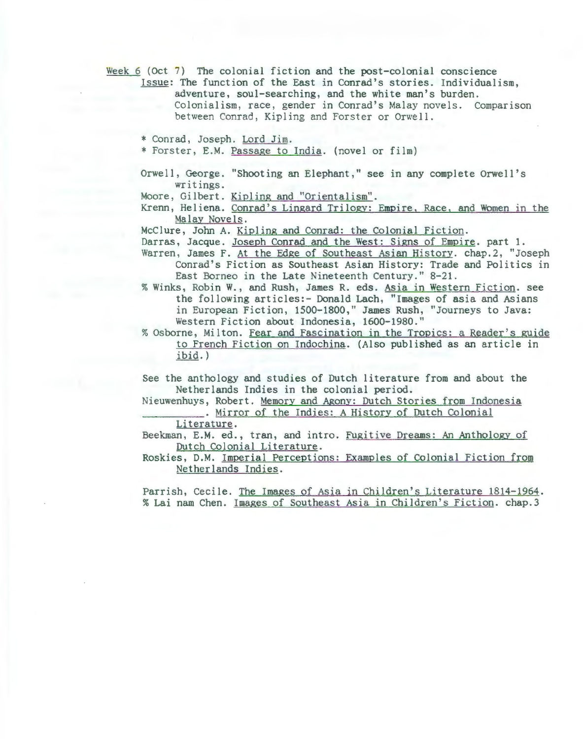Week 6 (Oct 7) The colonial fiction and the post-colonial conscience

Issue: The function of the East in Conrad's stories. Individualism, adventure, soul-searching, and the white man's burden. Colonialism, race, gender in Conrad's Malay novels. Comparison between Conrad, Kipling and Forster or Orwell.

\* Conrad, Joseph. Lord Jim.

\* Forster , E.M. Passage to India. (novel or film)

Orwell, George. "Shooting an Elephant," see in any complete Orwell's writings.

Moore, Gilbert. Kipling and "Orientalism".

Krenn, Heliena. Conrad's Lingard Trilogy: Empire, Race, and Women in the Malay Novels.

McClure, John A. Kipling and Conrad: the Colonial fiction.

Darras, Jacque. Joseph Conrad and the West: Signs of Empire. part 1.

Warren, James F. At the Edge of Southeast Asian History. chap.2, "Joseph Conrad's Fiction as Southeast Asian History: Trade and Politics in East Borneo in the Late Nineteenth Century." 8-21.

% Winks , Robin W., and Rush, James R. eds. Asia in Western Fiction. see the following articles: - Donald Lach, "Images of asia and Asians in European Fiction, 1500-1800," James Rush, "Journeys to Java: Western Fiction about Indonesia, 1600-1980."

% Osborne, Milton. Fear and Fascination in the Tropics: a Reader ' s guide to French Fiction on Indochina. (Also published as an article in ibid.)

See the anthology and studies of Dutch literature from and about the Netherlands Indies in the colonial period.

Nieuwenhuys, Robert. Memory and Agonv: Dutch Stories from Indonesia . Mirror of the Indies: A History of Dutch Colonial

Literature.

Beekman, E.M. ed., tran, and intro. Fugitive Dreams: An Anthology of Dutch Colonial Literature.

Roskies, D.M. Imperial Perceptions: Examples of Colonial Fiction from Netherlands Indies.

Parrish, Cecile. The Images of Asia in Children's Literature 1814-1964. % Lai nam Chen. Images of Southeast Asia in Children's Fiction. chap.3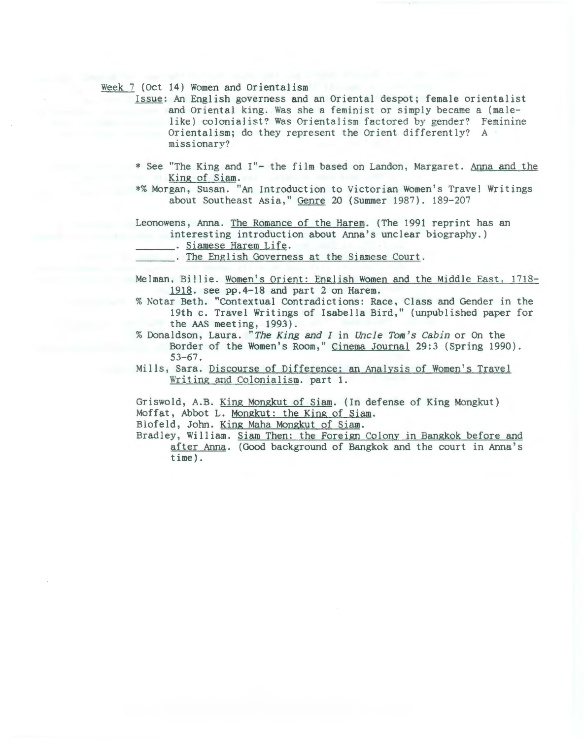Week 7 (Oct 14) Women and Orientalism

Issue: An English governess and an Oriental despot; female orientalist and Oriental king. Was she a feminist or simply became a (malelike) colonialist? Was Orientalism factored by gender? Feminine Orientalism; do they represent the Orient differently? A missionary?

\* See ''The King and I"- the film based on Landon, Margaret. Anna and the King of Siam.

\*%Morgan, Susan. "An Introduction to Victorian Women's Travel Writings about Southeast Asia," Genre 20 (Summer 1987). 189-207

Leonowens, Anna. The Romance of the Harem. (The 1991 reprint has an interesting introduction about Anna's unclear biography.)

. The English Governess at the Siamese Court.

- Melman, Billie. Women's Orient: English Women and the Middle East, 1718- 1918. see pp.4-18 and part 2 on Harem .
- % Notar Beth. "Contextual Contradictions: Race, Class and Gender in the 19th c. Travel Writings of Isabella Bird," (unpublished paper for the AAS meeting, 1993).
- % Donaldson, Laura. "The King and I in Uncle Tom's Cabin or On the Border of the Women's Room," Cinema Journal 29:3 (Spring 1990). 53-67.
- Mills, Sara. Discourse of Difference: an Analysis of Women's Travel Writing and Colonialism. part 1.

Griswold, A.B. King Mongkut of Siam. (In defense of King Mongkut) Moffat, Abbot L. Mongkut: the King of Siam.

Blofeld, John. King Maha Mongkut of Siam.

Bradley, William. Siam Then: the Foreign Colony in Bangkok before and after Anna. (Good background of Bangkok and the court in Anna's time) .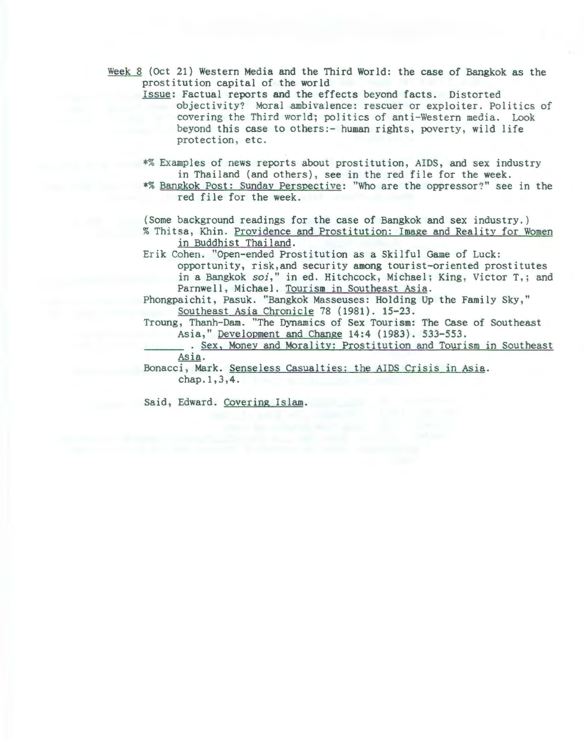- Week 8 (Oct 21) Western Media and the Third World: the case of Bangkok as the prostitution capital of the world
	- Issue: Factual reports and the effects beyond facts. Distorted objectivity? Moral ambivalence: rescuer or exploiter. Politics of covering the Third world; politics of anti-Western media. Look beyond this case to others: - human rights, poverty, wild life protection, etc.
	- \*%Examples of news reports about prostitution, AIDS, and sex industry in Thailand (and others), see in the red file for the week.
	- \*%Bangkok Post: Sunday Perspective: "Who are the oppressor?" see in the red file for the week.

(Some background readings for the case of Bangkok and sex industry.)

- % Thitsa, Khin. Providence and Prostitution: Image and Reality for Women in Buddhist Thailand.
- Erik Cohen. "Open-ended Prostitution as a Skilful Game of Luck: opportunity, risk,and security among tourist-oriented prostitutes in a Bangkok soi," in ed. Hitchcock, Michael; King, Victor T,; and Parnwell, Michael. Tourism in Southeast Asia.

Phongpaichit, Pasuk. "Bangkok Masseuses: Holding Up the Family Sky," Southeast Asia Chronicle 78 (1981). 15-23.

Troung, Thanh-Dam. "The Dynamics of Sex Tourism: The Case of Southeast Asia," Development and Change 14:4 (1983). 533-553 .

. Sex, Money and Morality: Prostitution and Tourism in Southeast Asia.

Bonacci, Mark. Senseless casualties: the AIDS Crisis in Asia. chap.1,3,4.

Said, Edward. Covering Islam.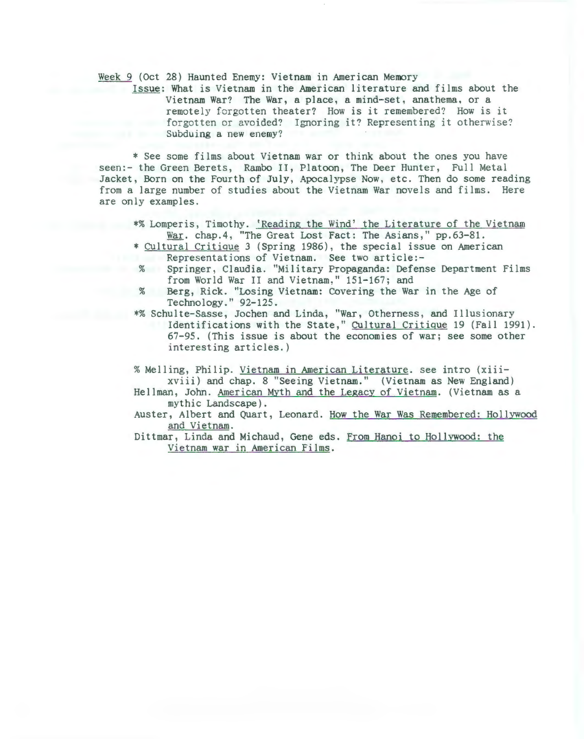Week 9 (Oct 28) Haunted Enemy: Vietnam in American Memory

Issue: What is Vietnam in the American literature and films about the Vietnam War? The War, a place, a mind-set, anathema, or a remotely forgotten theater? How is it remembered? How is it forgotten or avoided? Ignoring it? Representing it otherwise? Subduing a new enemy?

\* See some films about Vietnam war or think about the ones you have seen:- the Green Berets, Rambo II, Platoon, The Deer Hunter, Full Metal Jacket, Born on the Fourth of July, Apocalypse Now, etc. Then do some reading from a large number of studies about the Vietnam War novels and films. Here are only examples.

- \*% Lomperis, Timothy. 'Reading the Wind' the Literature of the Vietnam War. chap.4, "The Great Lost Fact: The Asians," pp.63-81.
- \*Cultural Critique 3 (Spring 1986), the special issue on American Representations of Vietnam. See two article:-
- % Springer, Claudia. "Military Propaganda: Defense Department Films from World War II and Vietnam," 151-167; and
- % Berg, Rick. "Losing Vietnam: Covering the War in the Age of Technology." 92-125.
- \*%Schulte-Sasse, Jochen and Linda, "War, Otherness, and Illusionary Identifications with the State," Cultural Critique 19 (Fall 1991). 67-95. (This issue is about the economies of war; see some other interesting articles.)

% Melling, Philip. Vietnam in American Literature. see intro (xiiixviii) and chap. 8 "Seeing Vietnam." (Vietnam as New England)

- Hellman, John. American Myth and the Legacy of Vietnam. (Vietnam as a mythic Landscape).
- Auster, Albert and Quart, Leonard. How the War Was Remembered: Hollywood and Vietnam.
- Dittmar, Linda and Michaud, Gene eds. From Hanoi to Hollywood: the Vietnam war in American Films.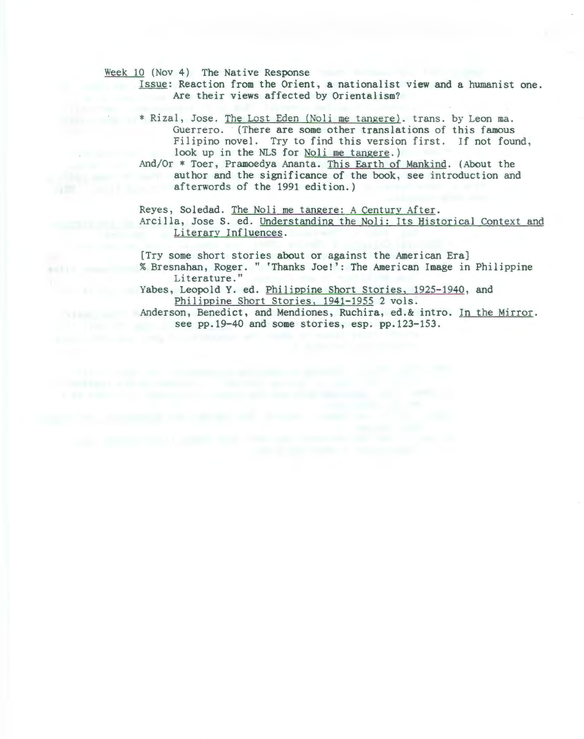Week 10 (Nov 4) The Native Response

- Issue: Reaction from the Orient, a nationalist view and a humanist one. Are their views affected by Orientalism?
- \* Rizal, Jose. The Lost Eden (Noli me tangere). trans. by Leon ma. Guerrero. (There are some other translations of this famous Filipino novel. Try to find this version first. If not found, look up in the NLS for Noli me tangere.)
- And/Or \* Toer, Pramoedya Ananta. This Earth of Mankind. (About the author and the significance of the book, see introduction and afterwords of the 1991 edition.)

Reyes, Soledad. The Noli me tangere: A Century After. Arcilla, Jose S. ed. Understanding the Noli: Its Historical Context and Literary Influences.

[Try some short stories about or against the American Era]

% Bresnahan, Roger. " 'Thanks Joe!': The American Image in Philippine Literature."

Yabes, Leopold Y. ed. Philippine Short Stories, 1925-1940, and Philippine Short Stories. 1941-1955 2 vols.

Anderson, Benedict, and Mendiones, Ruchira, ed.& intro. In the Mirror. see pp.19-40 and some stories, esp. pp.123-153.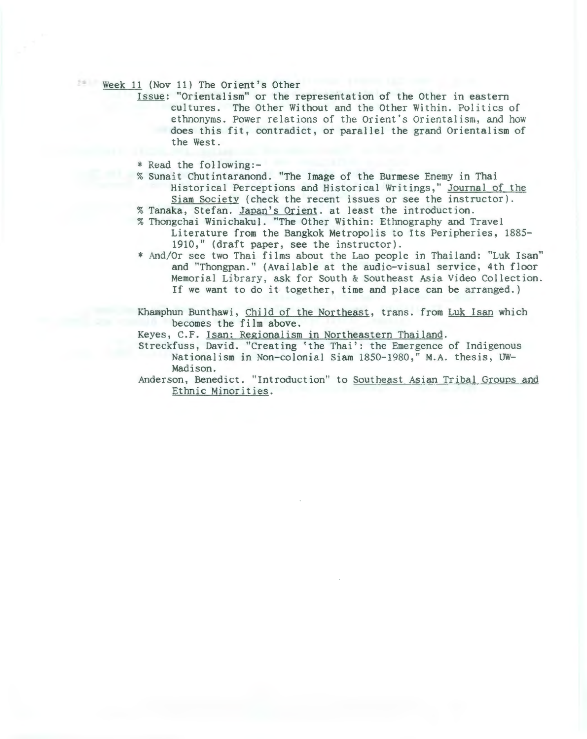## Week 11 (Nov 11) The Orient's Other

Issue: "Orientalism" or the representation of the Other in eastern cultures. The Other Without and the Other Within. Politics of ethnonyms. Power relations of the Orient's Orientalism , and how does this fit, contradict, or parallel the grand Orientalism of the West.

- \*Read the following:-
- % Sunait Chutintaranond. "The Image of the Burmese Enemy in Thai Historical Perceptions and Historical Writings," Journal of the Siam Society (check the recent issues or see the instructor ).
- %Tanaka, Stefan. Japan's Orient. at least the introduction.
- % Thongchai Winichakul. "The Other Within: Ethnography and Travel Literature from the Bangkok Metropolis to Its Peripheries, 1885-<br>1910," (draft paper, see the instructor).
- \* And/Or see two Thai films about the Lao people in Thailand: "Luk Isan" and "Thongpan." (Available at the audio-visual service, 4th floor Memorial Library, ask for South & Southeast Asia Video Collection. If we want to do it together, time and place can be arranged.)

Khamphun Bunthawi, Child of the Northeast, trans. from Luk Isan which becomes the film above.

Keyes, C.F. Isan: Regionalism in Northeastern Thailand.

Streckfuss, David. "Creating 'the Thai': the Emergence of Indigenous Nationalism in Non-colonial Siam 1850-1980," M.A. thesis, UW-Madison.

Anderson, Benedict. "Introduction" to Southeast Asian Tribal Groups and Ethnic Minorities.